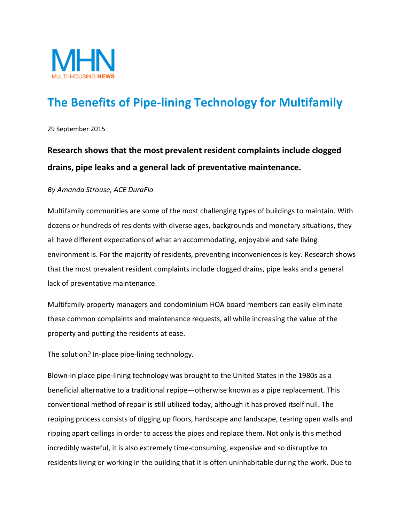

## **The Benefits of Pipe-lining Technology for Multifamily**

29 September 2015

## **Research shows that the most prevalent resident complaints include clogged drains, pipe leaks and a general lack of preventative maintenance.**

## *By Amanda Strouse, ACE DuraFlo*

Multifamily communities are some of the most challenging types of buildings to maintain. With dozens or hundreds of residents with diverse ages, backgrounds and monetary situations, they all have different expectations of what an accommodating, enjoyable and safe living environment is. For the majority of residents, preventing inconveniences is key. Research shows that the most prevalent resident complaints include clogged drains, pipe leaks and a general lack of preventative maintenance.

Multifamily property managers and condominium HOA board members can easily eliminate these common complaints and maintenance requests, all while increasing the value of the property and putting the residents at ease.

The solution? In-place pipe-lining technology.

Blown-in place pipe-lining technology was brought to the United States in the 1980s as a beneficial alternative to a traditional repipe—otherwise known as a pipe replacement. This conventional method of repair is still utilized today, although it has proved itself null. The repiping process consists of digging up floors, hardscape and landscape, tearing open walls and ripping apart ceilings in order to access the pipes and replace them. Not only is this method incredibly wasteful, it is also extremely time-consuming, expensive and so disruptive to residents living or working in the building that it is often uninhabitable during the work. Due to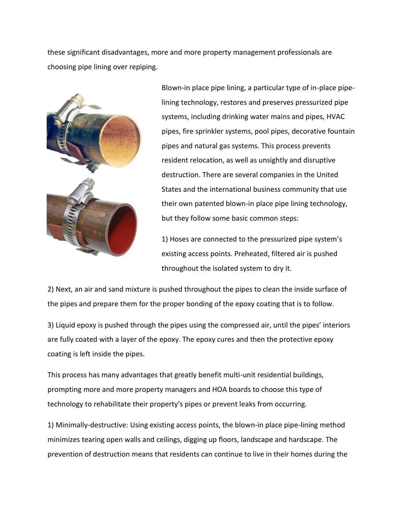these significant disadvantages, more and more property management professionals are choosing pipe lining over repiping.



Blown-in place pipe lining, a particular type of in-place pipelining technology, restores and preserves pressurized pipe systems, including drinking water mains and pipes, HVAC pipes, fire sprinkler systems, pool pipes, decorative fountain pipes and natural gas systems. This process prevents resident relocation, as well as unsightly and disruptive destruction. There are several companies in the United States and the international business community that use their own patented blown-in place pipe lining technology, but they follow some basic common steps:

1) Hoses are connected to the pressurized pipe system's existing access points. Preheated, filtered air is pushed throughout the isolated system to dry it.

2) Next, an air and sand mixture is pushed throughout the pipes to clean the inside surface of the pipes and prepare them for the proper bonding of the epoxy coating that is to follow.

3) Liquid epoxy is pushed through the pipes using the compressed air, until the pipes' interiors are fully coated with a layer of the epoxy. The epoxy cures and then the protective epoxy coating is left inside the pipes.

This process has many advantages that greatly benefit multi-unit residential buildings, prompting more and more property managers and HOA boards to choose this type of technology to rehabilitate their property's pipes or prevent leaks from occurring.

1) Minimally-destructive: Using existing access points, the blown-in place pipe-lining method minimizes tearing open walls and ceilings, digging up floors, landscape and hardscape. The prevention of destruction means that residents can continue to live in their homes during the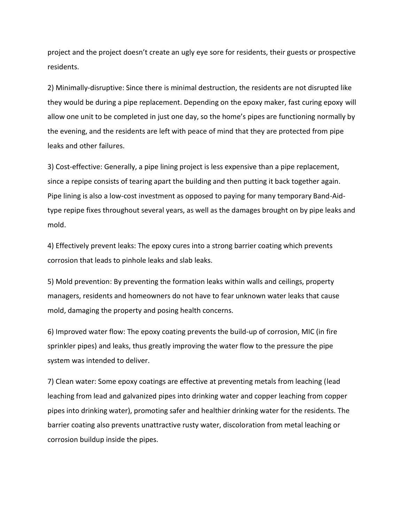project and the project doesn't create an ugly eye sore for residents, their guests or prospective residents.

2) Minimally-disruptive: Since there is minimal destruction, the residents are not disrupted like they would be during a pipe replacement. Depending on the epoxy maker, fast curing epoxy will allow one unit to be completed in just one day, so the home's pipes are functioning normally by the evening, and the residents are left with peace of mind that they are protected from pipe leaks and other failures.

3) Cost-effective: Generally, a pipe lining project is less expensive than a pipe replacement, since a repipe consists of tearing apart the building and then putting it back together again. Pipe lining is also a low-cost investment as opposed to paying for many temporary Band-Aidtype repipe fixes throughout several years, as well as the damages brought on by pipe leaks and mold.

4) Effectively prevent leaks: The epoxy cures into a strong barrier coating which prevents corrosion that leads to pinhole leaks and slab leaks.

5) Mold prevention: By preventing the formation leaks within walls and ceilings, property managers, residents and homeowners do not have to fear unknown water leaks that cause mold, damaging the property and posing health concerns.

6) Improved water flow: The epoxy coating prevents the build-up of corrosion, MIC (in fire sprinkler pipes) and leaks, thus greatly improving the water flow to the pressure the pipe system was intended to deliver.

7) Clean water: Some epoxy coatings are effective at preventing metals from leaching (lead leaching from lead and galvanized pipes into drinking water and copper leaching from copper pipes into drinking water), promoting safer and healthier drinking water for the residents. The barrier coating also prevents unattractive rusty water, discoloration from metal leaching or corrosion buildup inside the pipes.